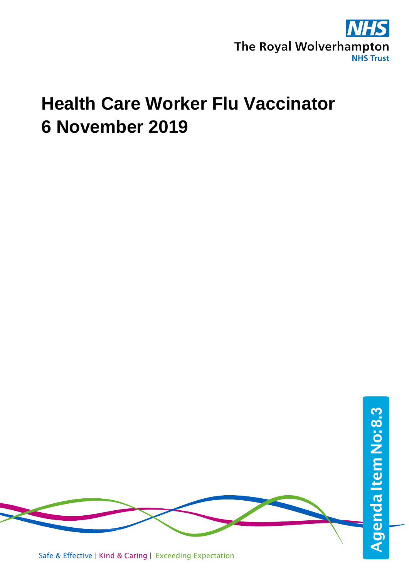

## **Health Care Worker Flu Vaccinator 6 November 2019**

Safe & Effective | Kind & Caring | Exceeding Expectation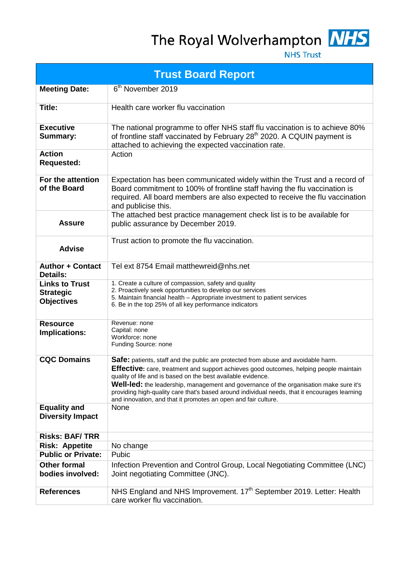## The Royal Wolverhampton NHS



**NHS Trust** 

| <b>Trust Board Report</b>                                      |                                                                                                                                                                                                                                                                                                                                                                                                                                                                                                          |  |  |  |
|----------------------------------------------------------------|----------------------------------------------------------------------------------------------------------------------------------------------------------------------------------------------------------------------------------------------------------------------------------------------------------------------------------------------------------------------------------------------------------------------------------------------------------------------------------------------------------|--|--|--|
| <b>Meeting Date:</b>                                           | 6 <sup>th</sup> November 2019                                                                                                                                                                                                                                                                                                                                                                                                                                                                            |  |  |  |
| Title:                                                         | Health care worker flu vaccination                                                                                                                                                                                                                                                                                                                                                                                                                                                                       |  |  |  |
| <b>Executive</b><br><b>Summary:</b>                            | The national programme to offer NHS staff flu vaccination is to achieve 80%<br>of frontline staff vaccinated by February 28 <sup>th</sup> 2020. A CQUIN payment is<br>attached to achieving the expected vaccination rate.                                                                                                                                                                                                                                                                               |  |  |  |
| <b>Action</b><br><b>Requested:</b>                             | Action                                                                                                                                                                                                                                                                                                                                                                                                                                                                                                   |  |  |  |
| For the attention<br>of the Board                              | Expectation has been communicated widely within the Trust and a record of<br>Board commitment to 100% of frontline staff having the flu vaccination is<br>required. All board members are also expected to receive the flu vaccination<br>and publicise this.                                                                                                                                                                                                                                            |  |  |  |
| <b>Assure</b>                                                  | The attached best practice management check list is to be available for<br>public assurance by December 2019.                                                                                                                                                                                                                                                                                                                                                                                            |  |  |  |
| <b>Advise</b>                                                  | Trust action to promote the flu vaccination.                                                                                                                                                                                                                                                                                                                                                                                                                                                             |  |  |  |
| <b>Author + Contact</b><br><b>Details:</b>                     | Tel ext 8754 Email matthewreid@nhs.net                                                                                                                                                                                                                                                                                                                                                                                                                                                                   |  |  |  |
| <b>Links to Trust</b><br><b>Strategic</b><br><b>Objectives</b> | 1. Create a culture of compassion, safety and quality<br>2. Proactively seek opportunities to develop our services<br>5. Maintain financial health - Appropriate investment to patient services<br>6. Be in the top 25% of all key performance indicators                                                                                                                                                                                                                                                |  |  |  |
| <b>Resource</b><br>Implications:                               | Revenue: none<br>Capital: none<br>Workforce: none<br>Funding Source: none                                                                                                                                                                                                                                                                                                                                                                                                                                |  |  |  |
| <b>CQC Domains</b>                                             | Safe: patients, staff and the public are protected from abuse and avoidable harm.<br>Effective: care, treatment and support achieves good outcomes, helping people maintain<br>quality of life and is based on the best available evidence.<br>Well-led: the leadership, management and governance of the organisation make sure it's<br>providing high-quality care that's based around individual needs, that it encourages learning<br>and innovation, and that it promotes an open and fair culture. |  |  |  |
| <b>Equality and</b><br><b>Diversity Impact</b>                 | None                                                                                                                                                                                                                                                                                                                                                                                                                                                                                                     |  |  |  |
| <b>Risks: BAF/TRR</b>                                          |                                                                                                                                                                                                                                                                                                                                                                                                                                                                                                          |  |  |  |
| <b>Risk: Appetite</b>                                          | No change                                                                                                                                                                                                                                                                                                                                                                                                                                                                                                |  |  |  |
| <b>Public or Private:</b>                                      | Pubic                                                                                                                                                                                                                                                                                                                                                                                                                                                                                                    |  |  |  |
| <b>Other formal</b><br>bodies involved:                        | Infection Prevention and Control Group, Local Negotiating Committee (LNC)<br>Joint negotiating Committee (JNC).                                                                                                                                                                                                                                                                                                                                                                                          |  |  |  |
| <b>References</b>                                              | NHS England and NHS Improvement. 17 <sup>th</sup> September 2019. Letter: Health<br>care worker flu vaccination.                                                                                                                                                                                                                                                                                                                                                                                         |  |  |  |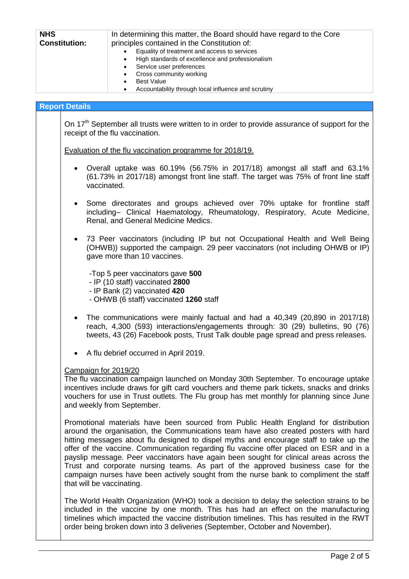| <b>NHS</b>           | In determining this matter, the Board should have regard to the Core |  |  |
|----------------------|----------------------------------------------------------------------|--|--|
| <b>Constitution:</b> | principles contained in the Constitution of:                         |  |  |
|                      | Equality of treatment and access to services                         |  |  |
|                      | High standards of excellence and professionalism<br>$\bullet$        |  |  |
|                      | Service user preferences                                             |  |  |
|                      | Cross community working<br>$\bullet$                                 |  |  |
|                      | <b>Best Value</b><br>٠                                               |  |  |
|                      | Accountability through local influence and scrutiny                  |  |  |
|                      |                                                                      |  |  |

## **Report Details**

On 17<sup>th</sup> September all trusts were written to in order to provide assurance of support for the receipt of the flu vaccination.

Evaluation of the flu vaccination programme for 2018/19.

- Overall uptake was 60.19% (56.75% in 2017/18) amongst all staff and 63.1% (61.73% in 2017/18) amongst front line staff. The target was 75% of front line staff vaccinated.
- Some directorates and groups achieved over 70% uptake for frontline staff including– Clinical Haematology, Rheumatology, Respiratory, Acute Medicine, Renal, and General Medicine Medics.
- 73 Peer vaccinators (including IP but not Occupational Health and Well Being (OHWB)) supported the campaign. 29 peer vaccinators (not including OHWB or IP) gave more than 10 vaccines.

-Top 5 peer vaccinators gave **500**

- IP (10 staff) vaccinated **2800**
- IP Bank (2) vaccinated **420**
- OHWB (6 staff) vaccinated **1260** staff
- The communications were mainly factual and had a 40,349 (20,890 in 2017/18) reach, 4,300 (593) interactions/engagements through: 30 (29) bulletins, 90 (76) tweets, 43 (26) Facebook posts, Trust Talk double page spread and press releases.
- A flu debrief occurred in April 2019.

## Campaign for 2019/20

The flu vaccination campaign launched on Monday 30th September. To encourage uptake incentives include draws for gift card vouchers and theme park tickets, snacks and drinks vouchers for use in Trust outlets. The Flu group has met monthly for planning since June and weekly from September.

Promotional materials have been sourced from Public Health England for distribution around the organisation, the Communications team have also created posters with hard hitting messages about flu designed to dispel myths and encourage staff to take up the offer of the vaccine. Communication regarding flu vaccine offer placed on ESR and in a payslip message. Peer vaccinators have again been sought for clinical areas across the Trust and corporate nursing teams. As part of the approved business case for the campaign nurses have been actively sought from the nurse bank to compliment the staff that will be vaccinating.

The World Health Organization (WHO) took a decision to delay the selection strains to be included in the vaccine by one month. This has had an effect on the manufacturing timelines which impacted the vaccine distribution timelines. This has resulted in the RWT order being broken down into 3 deliveries (September, October and November).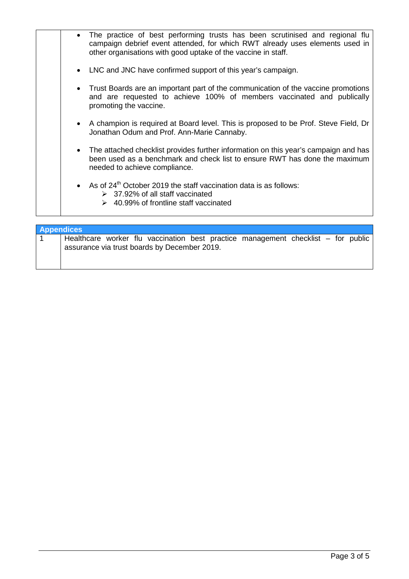| • The practice of best performing trusts has been scrutinised and regional flu<br>campaign debrief event attended, for which RWT already uses elements used in<br>other organisations with good uptake of the vaccine in staff. |  |
|---------------------------------------------------------------------------------------------------------------------------------------------------------------------------------------------------------------------------------|--|
| • LNC and JNC have confirmed support of this year's campaign.                                                                                                                                                                   |  |
| • Trust Boards are an important part of the communication of the vaccine promotions<br>and are requested to achieve 100% of members vaccinated and publically<br>promoting the vaccine.                                         |  |
| • A champion is required at Board level. This is proposed to be Prof. Steve Field, Dr<br>Jonathan Odum and Prof. Ann-Marie Cannaby.                                                                                             |  |
| • The attached checklist provides further information on this year's campaign and has<br>been used as a benchmark and check list to ensure RWT has done the maximum<br>needed to achieve compliance.                            |  |
| • As of $24th$ October 2019 the staff vaccination data is as follows:<br>$\geq$ 37.92% of all staff vaccinated<br>$\geq$ 40.99% of frontline staff vaccinated                                                                   |  |

| <b>Appendices</b> |                                                                                   |  |  |  |  |  |  |  |
|-------------------|-----------------------------------------------------------------------------------|--|--|--|--|--|--|--|
|                   | Healthcare worker flu vaccination best practice management checklist – for public |  |  |  |  |  |  |  |
|                   | assurance via trust boards by December 2019.                                      |  |  |  |  |  |  |  |
|                   |                                                                                   |  |  |  |  |  |  |  |
|                   |                                                                                   |  |  |  |  |  |  |  |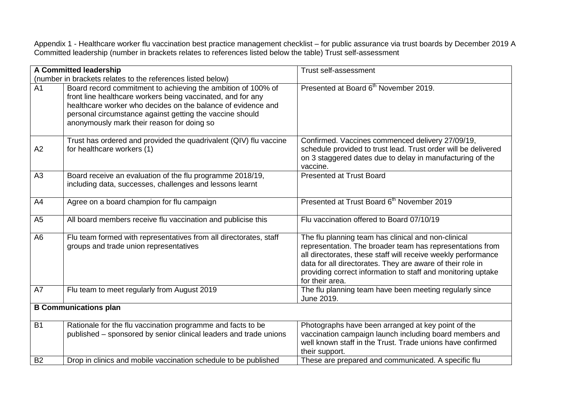Appendix 1 - Healthcare worker flu vaccination best practice management checklist – for public assurance via trust boards by December 2019 A Committed leadership (number in brackets relates to references listed below the table) Trust self-assessment

| A Committed leadership                                      |                                                                                                                                                                                                                                                                                                       | Trust self-assessment                                                                                                                                                                                                                                                                                                              |
|-------------------------------------------------------------|-------------------------------------------------------------------------------------------------------------------------------------------------------------------------------------------------------------------------------------------------------------------------------------------------------|------------------------------------------------------------------------------------------------------------------------------------------------------------------------------------------------------------------------------------------------------------------------------------------------------------------------------------|
| (number in brackets relates to the references listed below) |                                                                                                                                                                                                                                                                                                       |                                                                                                                                                                                                                                                                                                                                    |
| $\overline{A1}$                                             | Board record commitment to achieving the ambition of 100% of<br>front line healthcare workers being vaccinated, and for any<br>healthcare worker who decides on the balance of evidence and<br>personal circumstance against getting the vaccine should<br>anonymously mark their reason for doing so | Presented at Board 6 <sup>th</sup> November 2019.                                                                                                                                                                                                                                                                                  |
| A2                                                          | Trust has ordered and provided the quadrivalent (QIV) flu vaccine<br>for healthcare workers (1)                                                                                                                                                                                                       | Confirmed. Vaccines commenced delivery 27/09/19,<br>schedule provided to trust lead. Trust order will be delivered<br>on 3 staggered dates due to delay in manufacturing of the<br>vaccine.                                                                                                                                        |
| A3                                                          | Board receive an evaluation of the flu programme 2018/19,<br>including data, successes, challenges and lessons learnt                                                                                                                                                                                 | <b>Presented at Trust Board</b>                                                                                                                                                                                                                                                                                                    |
| A4                                                          | Agree on a board champion for flu campaign                                                                                                                                                                                                                                                            | Presented at Trust Board 6 <sup>th</sup> November 2019                                                                                                                                                                                                                                                                             |
| A <sub>5</sub>                                              | All board members receive flu vaccination and publicise this                                                                                                                                                                                                                                          | Flu vaccination offered to Board 07/10/19                                                                                                                                                                                                                                                                                          |
| A <sub>6</sub>                                              | Flu team formed with representatives from all directorates, staff<br>groups and trade union representatives                                                                                                                                                                                           | The flu planning team has clinical and non-clinical<br>representation. The broader team has representations from<br>all directorates, these staff will receive weekly performance<br>data for all directorates. They are aware of their role in<br>providing correct information to staff and monitoring uptake<br>for their area. |
| A7                                                          | Flu team to meet regularly from August 2019                                                                                                                                                                                                                                                           | The flu planning team have been meeting regularly since<br>June 2019.                                                                                                                                                                                                                                                              |
| <b>B Communications plan</b>                                |                                                                                                                                                                                                                                                                                                       |                                                                                                                                                                                                                                                                                                                                    |
| <b>B1</b><br><b>B2</b>                                      | Rationale for the flu vaccination programme and facts to be<br>published - sponsored by senior clinical leaders and trade unions                                                                                                                                                                      | Photographs have been arranged at key point of the<br>vaccination campaign launch including board members and<br>well known staff in the Trust. Trade unions have confirmed<br>their support.                                                                                                                                      |
|                                                             | Drop in clinics and mobile vaccination schedule to be published                                                                                                                                                                                                                                       | These are prepared and communicated. A specific flu                                                                                                                                                                                                                                                                                |